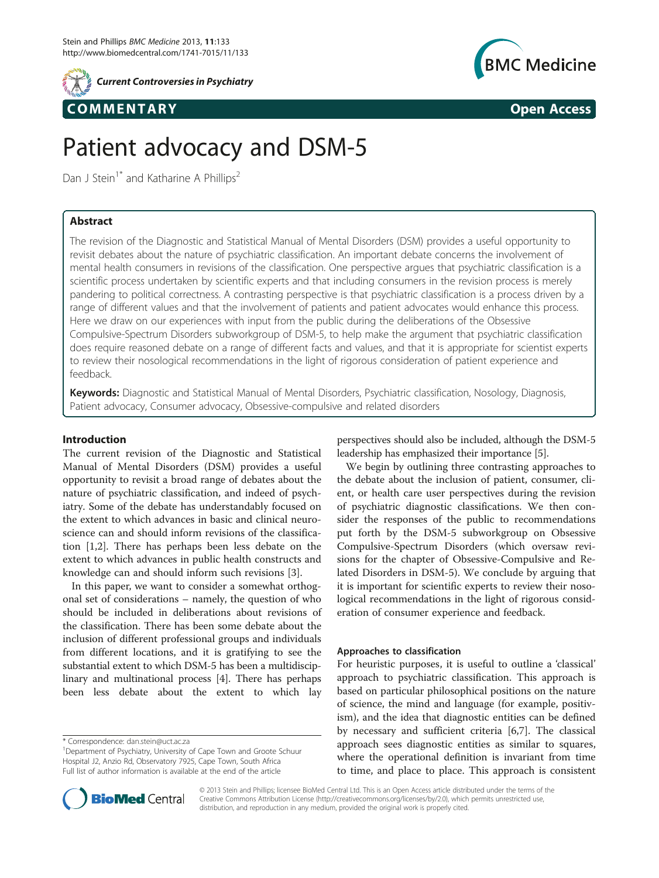



# Patient advocacy and DSM-5

Dan J Stein<sup>1\*</sup> and Katharine A Phillips<sup>2</sup>

# Abstract

The revision of the Diagnostic and Statistical Manual of Mental Disorders (DSM) provides a useful opportunity to revisit debates about the nature of psychiatric classification. An important debate concerns the involvement of mental health consumers in revisions of the classification. One perspective argues that psychiatric classification is a scientific process undertaken by scientific experts and that including consumers in the revision process is merely pandering to political correctness. A contrasting perspective is that psychiatric classification is a process driven by a range of different values and that the involvement of patients and patient advocates would enhance this process. Here we draw on our experiences with input from the public during the deliberations of the Obsessive Compulsive-Spectrum Disorders subworkgroup of DSM-5, to help make the argument that psychiatric classification does require reasoned debate on a range of different facts and values, and that it is appropriate for scientist experts to review their nosological recommendations in the light of rigorous consideration of patient experience and feedback.

Keywords: Diagnostic and Statistical Manual of Mental Disorders, Psychiatric classification, Nosology, Diagnosis, Patient advocacy, Consumer advocacy, Obsessive-compulsive and related disorders

# Introduction

The current revision of the Diagnostic and Statistical Manual of Mental Disorders (DSM) provides a useful opportunity to revisit a broad range of debates about the nature of psychiatric classification, and indeed of psychiatry. Some of the debate has understandably focused on the extent to which advances in basic and clinical neuroscience can and should inform revisions of the classification [[1,2\]](#page-3-0). There has perhaps been less debate on the extent to which advances in public health constructs and knowledge can and should inform such revisions [\[3](#page-3-0)].

In this paper, we want to consider a somewhat orthogonal set of considerations – namely, the question of who should be included in deliberations about revisions of the classification. There has been some debate about the inclusion of different professional groups and individuals from different locations, and it is gratifying to see the substantial extent to which DSM-5 has been a multidisciplinary and multinational process [\[4](#page-3-0)]. There has perhaps been less debate about the extent to which lay



We begin by outlining three contrasting approaches to the debate about the inclusion of patient, consumer, client, or health care user perspectives during the revision of psychiatric diagnostic classifications. We then consider the responses of the public to recommendations put forth by the DSM-5 subworkgroup on Obsessive Compulsive-Spectrum Disorders (which oversaw revisions for the chapter of Obsessive-Compulsive and Related Disorders in DSM-5). We conclude by arguing that it is important for scientific experts to review their nosological recommendations in the light of rigorous consideration of consumer experience and feedback.

## Approaches to classification

For heuristic purposes, it is useful to outline a 'classical' approach to psychiatric classification. This approach is based on particular philosophical positions on the nature of science, the mind and language (for example, positivism), and the idea that diagnostic entities can be defined by necessary and sufficient criteria [\[6,7](#page-3-0)]. The classical approach sees diagnostic entities as similar to squares, where the operational definition is invariant from time to time, and place to place. This approach is consistent



© 2013 Stein and Phillips; licensee BioMed Central Ltd. This is an Open Access article distributed under the terms of the Creative Commons Attribution License (<http://creativecommons.org/licenses/by/2.0>), which permits unrestricted use, distribution, and reproduction in any medium, provided the original work is properly cited.

<sup>\*</sup> Correspondence: [dan.stein@uct.ac.za](mailto:dan.stein@uct.ac.za) <sup>1</sup>

<sup>&</sup>lt;sup>1</sup>Department of Psychiatry, University of Cape Town and Groote Schuur Hospital J2, Anzio Rd, Observatory 7925, Cape Town, South Africa Full list of author information is available at the end of the article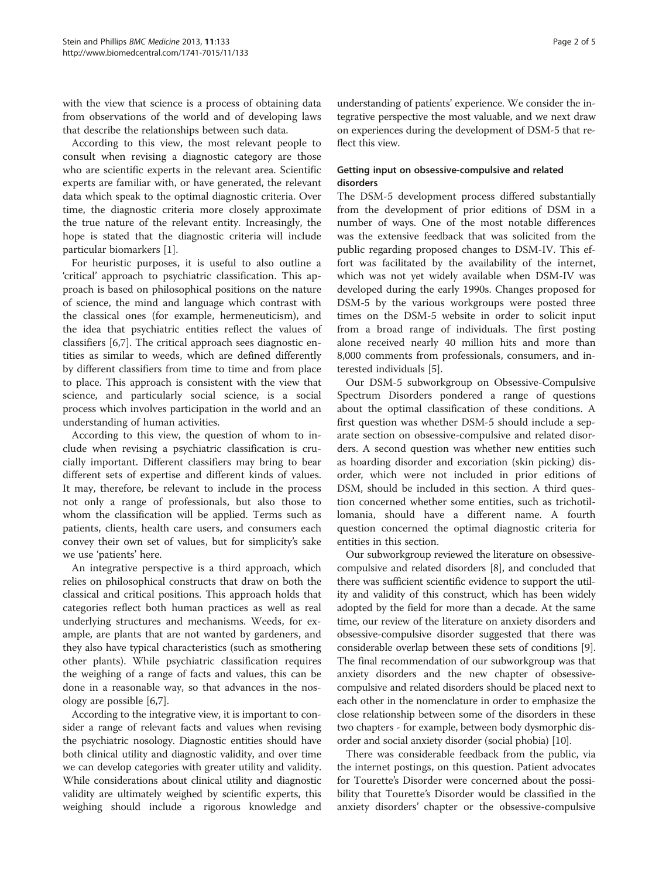with the view that science is a process of obtaining data from observations of the world and of developing laws that describe the relationships between such data.

According to this view, the most relevant people to consult when revising a diagnostic category are those who are scientific experts in the relevant area. Scientific experts are familiar with, or have generated, the relevant data which speak to the optimal diagnostic criteria. Over time, the diagnostic criteria more closely approximate the true nature of the relevant entity. Increasingly, the hope is stated that the diagnostic criteria will include particular biomarkers [[1\]](#page-3-0).

For heuristic purposes, it is useful to also outline a 'critical' approach to psychiatric classification. This approach is based on philosophical positions on the nature of science, the mind and language which contrast with the classical ones (for example, hermeneuticism), and the idea that psychiatric entities reflect the values of classifiers [[6,7\]](#page-3-0). The critical approach sees diagnostic entities as similar to weeds, which are defined differently by different classifiers from time to time and from place to place. This approach is consistent with the view that science, and particularly social science, is a social process which involves participation in the world and an understanding of human activities.

According to this view, the question of whom to include when revising a psychiatric classification is crucially important. Different classifiers may bring to bear different sets of expertise and different kinds of values. It may, therefore, be relevant to include in the process not only a range of professionals, but also those to whom the classification will be applied. Terms such as patients, clients, health care users, and consumers each convey their own set of values, but for simplicity's sake we use 'patients' here.

An integrative perspective is a third approach, which relies on philosophical constructs that draw on both the classical and critical positions. This approach holds that categories reflect both human practices as well as real underlying structures and mechanisms. Weeds, for example, are plants that are not wanted by gardeners, and they also have typical characteristics (such as smothering other plants). While psychiatric classification requires the weighing of a range of facts and values, this can be done in a reasonable way, so that advances in the nosology are possible [[6](#page-3-0),[7\]](#page-3-0).

According to the integrative view, it is important to consider a range of relevant facts and values when revising the psychiatric nosology. Diagnostic entities should have both clinical utility and diagnostic validity, and over time we can develop categories with greater utility and validity. While considerations about clinical utility and diagnostic validity are ultimately weighed by scientific experts, this weighing should include a rigorous knowledge and understanding of patients' experience. We consider the integrative perspective the most valuable, and we next draw on experiences during the development of DSM-5 that reflect this view.

# Getting input on obsessive-compulsive and related disorders

The DSM-5 development process differed substantially from the development of prior editions of DSM in a number of ways. One of the most notable differences was the extensive feedback that was solicited from the public regarding proposed changes to DSM-IV. This effort was facilitated by the availability of the internet, which was not yet widely available when DSM-IV was developed during the early 1990s. Changes proposed for DSM-5 by the various workgroups were posted three times on the DSM-5 website in order to solicit input from a broad range of individuals. The first posting alone received nearly 40 million hits and more than 8,000 comments from professionals, consumers, and interested individuals [\[5\]](#page-3-0).

Our DSM-5 subworkgroup on Obsessive-Compulsive Spectrum Disorders pondered a range of questions about the optimal classification of these conditions. A first question was whether DSM-5 should include a separate section on obsessive-compulsive and related disorders. A second question was whether new entities such as hoarding disorder and excoriation (skin picking) disorder, which were not included in prior editions of DSM, should be included in this section. A third question concerned whether some entities, such as trichotillomania, should have a different name. A fourth question concerned the optimal diagnostic criteria for entities in this section.

Our subworkgroup reviewed the literature on obsessivecompulsive and related disorders [\[8\]](#page-3-0), and concluded that there was sufficient scientific evidence to support the utility and validity of this construct, which has been widely adopted by the field for more than a decade. At the same time, our review of the literature on anxiety disorders and obsessive-compulsive disorder suggested that there was considerable overlap between these sets of conditions [[9](#page-3-0)]. The final recommendation of our subworkgroup was that anxiety disorders and the new chapter of obsessivecompulsive and related disorders should be placed next to each other in the nomenclature in order to emphasize the close relationship between some of the disorders in these two chapters - for example, between body dysmorphic disorder and social anxiety disorder (social phobia) [\[10\]](#page-3-0).

There was considerable feedback from the public, via the internet postings, on this question. Patient advocates for Tourette's Disorder were concerned about the possibility that Tourette's Disorder would be classified in the anxiety disorders' chapter or the obsessive-compulsive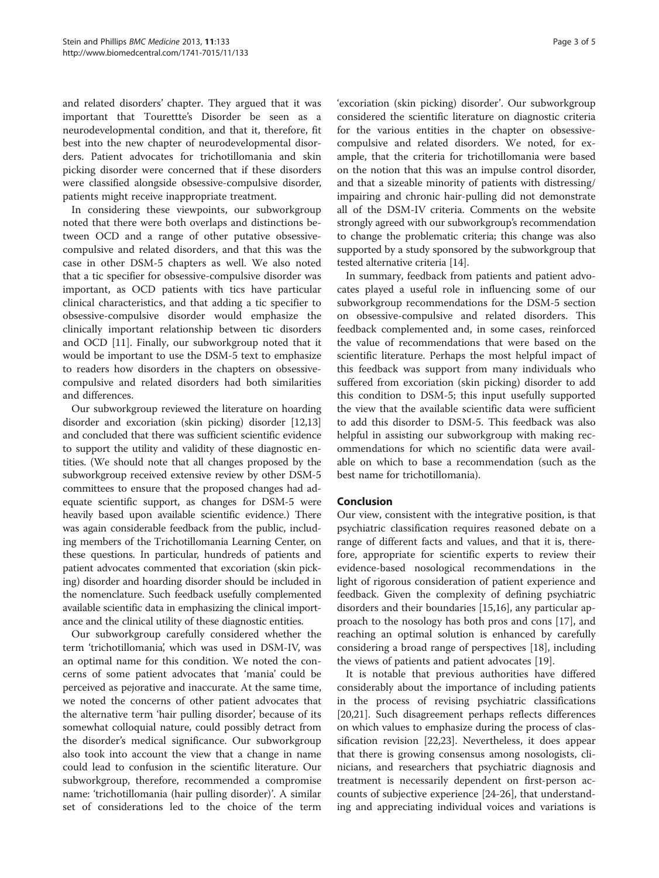and related disorders' chapter. They argued that it was important that Tourettte's Disorder be seen as a neurodevelopmental condition, and that it, therefore, fit best into the new chapter of neurodevelopmental disorders. Patient advocates for trichotillomania and skin picking disorder were concerned that if these disorders were classified alongside obsessive-compulsive disorder, patients might receive inappropriate treatment.

In considering these viewpoints, our subworkgroup noted that there were both overlaps and distinctions between OCD and a range of other putative obsessivecompulsive and related disorders, and that this was the case in other DSM-5 chapters as well. We also noted that a tic specifier for obsessive-compulsive disorder was important, as OCD patients with tics have particular clinical characteristics, and that adding a tic specifier to obsessive-compulsive disorder would emphasize the clinically important relationship between tic disorders and OCD [\[11](#page-3-0)]. Finally, our subworkgroup noted that it would be important to use the DSM-5 text to emphasize to readers how disorders in the chapters on obsessivecompulsive and related disorders had both similarities and differences.

Our subworkgroup reviewed the literature on hoarding disorder and excoriation (skin picking) disorder [\[12,13](#page-3-0)] and concluded that there was sufficient scientific evidence to support the utility and validity of these diagnostic entities. (We should note that all changes proposed by the subworkgroup received extensive review by other DSM-5 committees to ensure that the proposed changes had adequate scientific support, as changes for DSM-5 were heavily based upon available scientific evidence.) There was again considerable feedback from the public, including members of the Trichotillomania Learning Center, on these questions. In particular, hundreds of patients and patient advocates commented that excoriation (skin picking) disorder and hoarding disorder should be included in the nomenclature. Such feedback usefully complemented available scientific data in emphasizing the clinical importance and the clinical utility of these diagnostic entities.

Our subworkgroup carefully considered whether the term 'trichotillomania', which was used in DSM-IV, was an optimal name for this condition. We noted the concerns of some patient advocates that 'mania' could be perceived as pejorative and inaccurate. At the same time, we noted the concerns of other patient advocates that the alternative term 'hair pulling disorder', because of its somewhat colloquial nature, could possibly detract from the disorder's medical significance. Our subworkgroup also took into account the view that a change in name could lead to confusion in the scientific literature. Our subworkgroup, therefore, recommended a compromise name: 'trichotillomania (hair pulling disorder)'. A similar set of considerations led to the choice of the term

'excoriation (skin picking) disorder'. Our subworkgroup considered the scientific literature on diagnostic criteria for the various entities in the chapter on obsessivecompulsive and related disorders. We noted, for example, that the criteria for trichotillomania were based on the notion that this was an impulse control disorder, and that a sizeable minority of patients with distressing/ impairing and chronic hair-pulling did not demonstrate all of the DSM-IV criteria. Comments on the website strongly agreed with our subworkgroup's recommendation to change the problematic criteria; this change was also supported by a study sponsored by the subworkgroup that tested alternative criteria [\[14\]](#page-3-0).

In summary, feedback from patients and patient advocates played a useful role in influencing some of our subworkgroup recommendations for the DSM-5 section on obsessive-compulsive and related disorders. This feedback complemented and, in some cases, reinforced the value of recommendations that were based on the scientific literature. Perhaps the most helpful impact of this feedback was support from many individuals who suffered from excoriation (skin picking) disorder to add this condition to DSM-5; this input usefully supported the view that the available scientific data were sufficient to add this disorder to DSM-5. This feedback was also helpful in assisting our subworkgroup with making recommendations for which no scientific data were available on which to base a recommendation (such as the best name for trichotillomania).

## Conclusion

Our view, consistent with the integrative position, is that psychiatric classification requires reasoned debate on a range of different facts and values, and that it is, therefore, appropriate for scientific experts to review their evidence-based nosological recommendations in the light of rigorous consideration of patient experience and feedback. Given the complexity of defining psychiatric disorders and their boundaries [\[15,16\]](#page-3-0), any particular approach to the nosology has both pros and cons [\[17](#page-4-0)], and reaching an optimal solution is enhanced by carefully considering a broad range of perspectives [\[18\]](#page-4-0), including the views of patients and patient advocates [\[19](#page-4-0)].

It is notable that previous authorities have differed considerably about the importance of including patients in the process of revising psychiatric classifications [[20,21\]](#page-4-0). Such disagreement perhaps reflects differences on which values to emphasize during the process of classification revision [\[22,23](#page-4-0)]. Nevertheless, it does appear that there is growing consensus among nosologists, clinicians, and researchers that psychiatric diagnosis and treatment is necessarily dependent on first-person accounts of subjective experience [[24-26\]](#page-4-0), that understanding and appreciating individual voices and variations is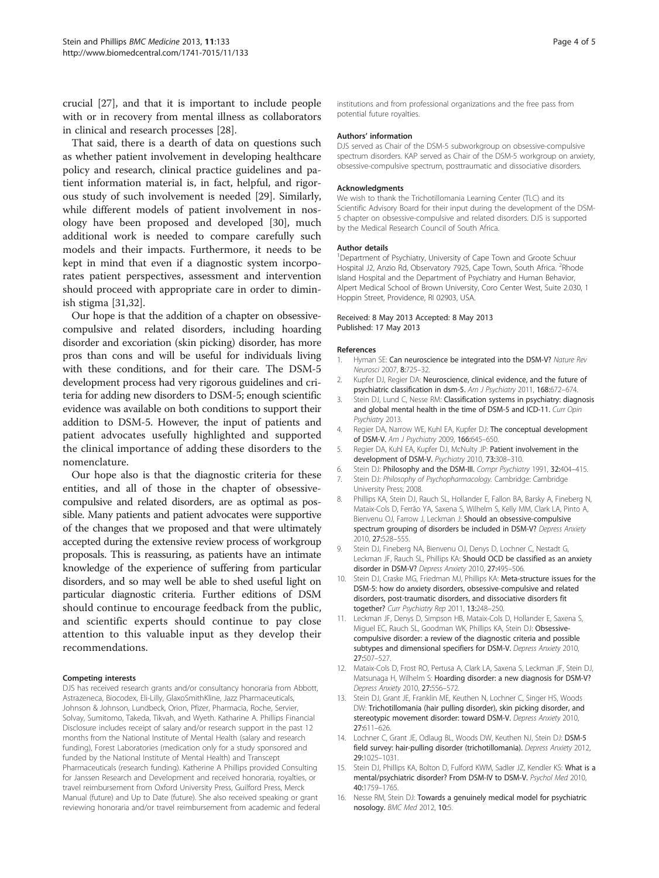<span id="page-3-0"></span>crucial [[27](#page-4-0)], and that it is important to include people with or in recovery from mental illness as collaborators in clinical and research processes [[28\]](#page-4-0).

That said, there is a dearth of data on questions such as whether patient involvement in developing healthcare policy and research, clinical practice guidelines and patient information material is, in fact, helpful, and rigorous study of such involvement is needed [[29\]](#page-4-0). Similarly, while different models of patient involvement in nosology have been proposed and developed [[30](#page-4-0)], much additional work is needed to compare carefully such models and their impacts. Furthermore, it needs to be kept in mind that even if a diagnostic system incorporates patient perspectives, assessment and intervention should proceed with appropriate care in order to diminish stigma [\[31,32\]](#page-4-0).

Our hope is that the addition of a chapter on obsessivecompulsive and related disorders, including hoarding disorder and excoriation (skin picking) disorder, has more pros than cons and will be useful for individuals living with these conditions, and for their care. The DSM-5 development process had very rigorous guidelines and criteria for adding new disorders to DSM-5; enough scientific evidence was available on both conditions to support their addition to DSM-5. However, the input of patients and patient advocates usefully highlighted and supported the clinical importance of adding these disorders to the nomenclature.

Our hope also is that the diagnostic criteria for these entities, and all of those in the chapter of obsessivecompulsive and related disorders, are as optimal as possible. Many patients and patient advocates were supportive of the changes that we proposed and that were ultimately accepted during the extensive review process of workgroup proposals. This is reassuring, as patients have an intimate knowledge of the experience of suffering from particular disorders, and so may well be able to shed useful light on particular diagnostic criteria. Further editions of DSM should continue to encourage feedback from the public, and scientific experts should continue to pay close attention to this valuable input as they develop their recommendations.

#### Competing interests

DJS has received research grants and/or consultancy honoraria from Abbott, Astrazeneca, Biocodex, Eli-Lilly, GlaxoSmithKline, Jazz Pharmaceuticals, Johnson & Johnson, Lundbeck, Orion, Pfizer, Pharmacia, Roche, Servier, Solvay, Sumitomo, Takeda, Tikvah, and Wyeth. Katharine A. Phillips Financial Disclosure includes receipt of salary and/or research support in the past 12 months from the National Institute of Mental Health (salary and research funding), Forest Laboratories (medication only for a study sponsored and funded by the National Institute of Mental Health) and Transcept Pharmaceuticals (research funding). Katherine A Phillips provided Consulting for Janssen Research and Development and received honoraria, royalties, or travel reimbursement from Oxford University Press, Guilford Press, Merck Manual (future) and Up to Date (future). She also received speaking or grant reviewing honoraria and/or travel reimbursement from academic and federal

#### Authors' information

DJS served as Chair of the DSM-5 subworkgroup on obsessive-compulsive spectrum disorders. KAP served as Chair of the DSM-5 workgroup on anxiety, obsessive-compulsive spectrum, posttraumatic and dissociative disorders.

#### **Acknowledgments**

We wish to thank the Trichotillomania Learning Center (TLC) and its Scientific Advisory Board for their input during the development of the DSM-5 chapter on obsessive-compulsive and related disorders. DJS is supported by the Medical Research Council of South Africa.

#### Author details

<sup>1</sup>Department of Psychiatry, University of Cape Town and Groote Schuur Hospital J2, Anzio Rd, Observatory 7925, Cape Town, South Africa. <sup>2</sup>Rhode Island Hospital and the Department of Psychiatry and Human Behavior, Alpert Medical School of Brown University, Coro Center West, Suite 2.030, 1 Hoppin Street, Providence, RI 02903, USA.

#### Received: 8 May 2013 Accepted: 8 May 2013 Published: 17 May 2013

#### References

- 1. Hyman SE: Can neuroscience be integrated into the DSM-V? Nature Rev Neurosci 2007, 8:725–32.
- Kupfer DJ, Regier DA: Neuroscience, clinical evidence, and the future of psychiatric classification in dsm-5. Am J Psychiatry 2011, 168:672–674.
- 3. Stein DJ, Lund C, Nesse RM: Classification systems in psychiatry: diagnosis and global mental health in the time of DSM-5 and ICD-11. Curr Opin Psychiatry 2013.
- 4. Regier DA, Narrow WE, Kuhl EA, Kupfer DJ: The conceptual development of DSM-V. Am J Psychiatry 2009, 166:645–650.
- 5. Regier DA, Kuhl EA, Kupfer DJ, McNulty JP: Patient involvement in the development of DSM-V. Psychiatry 2010, 73:308–310.
- 6. Stein DJ: Philosophy and the DSM-III. Compr Psychiatry 1991, 32:404–415. 7. Stein DJ: Philosophy of Psychopharmacology. Cambridge: Cambridge
- University Press; 2008. 8. Phillips KA, Stein DJ, Rauch SL, Hollander E, Fallon BA, Barsky A, Fineberg N,
- Mataix-Cols D, Ferrão YA, Saxena S, Wilhelm S, Kelly MM, Clark LA, Pinto A, Bienvenu OJ, Farrow J, Leckman J: Should an obsessive-compulsive spectrum grouping of disorders be included in DSM-V? Depress Anxiety 2010, 27:528–555.
- 9. Stein DJ, Fineberg NA, Bienvenu OJ, Denys D, Lochner C, Nestadt G, Leckman JF, Rauch SL, Phillips KA: Should OCD be classified as an anxiety disorder in DSM-V? Depress Anxiety 2010, 27:495–506.
- 10. Stein DJ, Craske MG, Friedman MJ, Phillips KA: Meta-structure issues for the DSM-5: how do anxiety disorders, obsessive-compulsive and related disorders, post-traumatic disorders, and dissociative disorders fit together? Curr Psychiatry Rep 2011, 13:248-250.
- 11. Leckman JF, Denys D, Simpson HB, Mataix-Cols D, Hollander E, Saxena S, Miguel EC, Rauch SL, Goodman WK, Phillips KA, Stein DJ: Obsessivecompulsive disorder: a review of the diagnostic criteria and possible subtypes and dimensional specifiers for DSM-V. Depress Anxiety 2010, 27:507–527.
- 12. Mataix-Cols D, Frost RO, Pertusa A, Clark LA, Saxena S, Leckman JF, Stein DJ, Matsunaga H, Wilhelm S: Hoarding disorder: a new diagnosis for DSM-V? Depress Anxiety 2010, 27:556–572.
- 13. Stein DJ, Grant JE, Franklin ME, Keuthen N, Lochner C, Singer HS, Woods DW: Trichotillomania (hair pulling disorder), skin picking disorder, and stereotypic movement disorder: toward DSM-V. Depress Anxiety 2010, 27:611–626.
- 14. Lochner C, Grant JE, Odlaug BL, Woods DW, Keuthen NJ, Stein DJ: DSM-5 field survey: hair-pulling disorder (trichotillomania). Depress Anxiety 2012, 29:1025–1031.
- 15. Stein DJ, Phillips KA, Bolton D, Fulford KWM, Sadler JZ, Kendler KS: What is a mental/psychiatric disorder? From DSM-IV to DSM-V. Psychol Med 2010, 40:1759–1765.
- 16. Nesse RM, Stein DJ: Towards a genuinely medical model for psychiatric nosology. BMC Med 2012, 10:5.